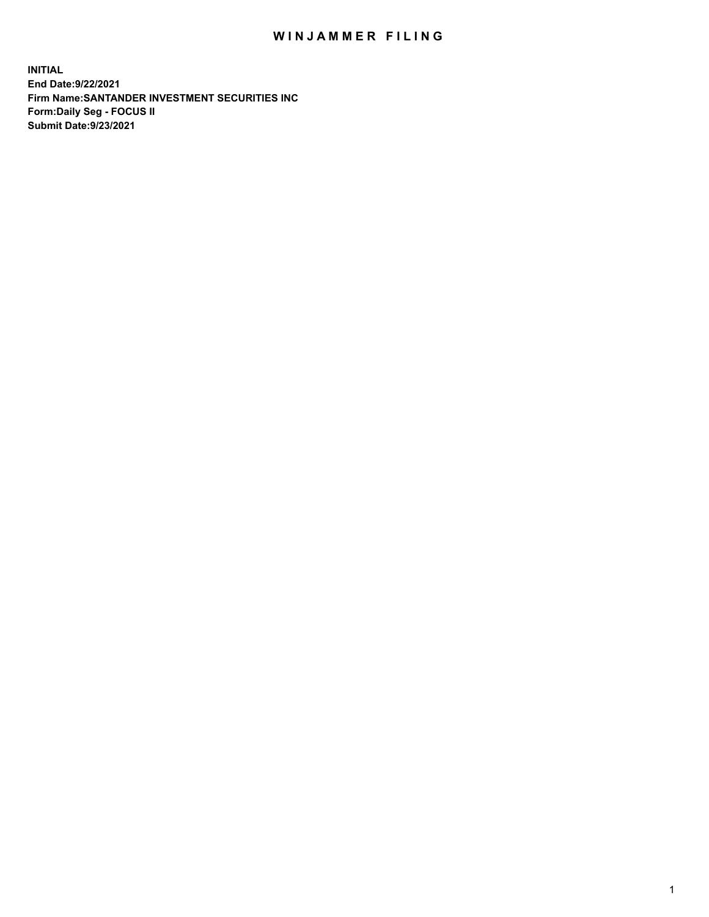## WIN JAMMER FILING

**INITIAL End Date:9/22/2021 Firm Name:SANTANDER INVESTMENT SECURITIES INC Form:Daily Seg - FOCUS II Submit Date:9/23/2021**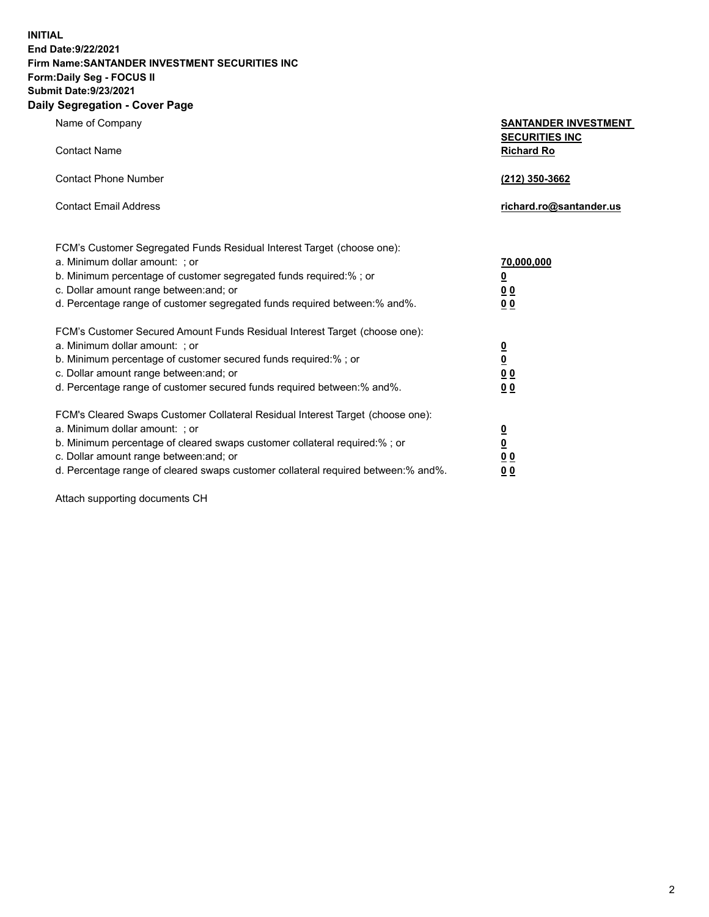**INITIAL End Date:9/22/2021 Firm Name:SANTANDER INVESTMENT SECURITIES INC Form:Daily Seg - FOCUS II Submit Date:9/23/2021 Daily Segregation - Cover Page**

| Name of Company<br><b>Contact Name</b>                                            | <b>SANTANDER INVESTMENT</b><br><b>SECURITIES INC</b><br><b>Richard Ro</b> |
|-----------------------------------------------------------------------------------|---------------------------------------------------------------------------|
|                                                                                   |                                                                           |
| <b>Contact Phone Number</b>                                                       | (212) 350-3662                                                            |
| <b>Contact Email Address</b>                                                      | richard.ro@santander.us                                                   |
| FCM's Customer Segregated Funds Residual Interest Target (choose one):            |                                                                           |
| a. Minimum dollar amount: ; or                                                    | <u>70,000,000</u>                                                         |
| b. Minimum percentage of customer segregated funds required:% ; or                | $\overline{\mathbf{0}}$                                                   |
| c. Dollar amount range between: and; or                                           | 0 <sub>0</sub>                                                            |
| d. Percentage range of customer segregated funds required between:% and%.         | 0 <sub>0</sub>                                                            |
| FCM's Customer Secured Amount Funds Residual Interest Target (choose one):        |                                                                           |
| a. Minimum dollar amount: ; or                                                    | $\frac{0}{0}$                                                             |
| b. Minimum percentage of customer secured funds required:% ; or                   |                                                                           |
| c. Dollar amount range between: and; or                                           | 0 <sub>0</sub>                                                            |
| d. Percentage range of customer secured funds required between:% and%.            | 0 <sub>0</sub>                                                            |
| FCM's Cleared Swaps Customer Collateral Residual Interest Target (choose one):    |                                                                           |
| a. Minimum dollar amount: ; or                                                    |                                                                           |
| b. Minimum percentage of cleared swaps customer collateral required:% ; or        | $\frac{0}{0}$                                                             |
| c. Dollar amount range between: and; or                                           | 0 <sub>0</sub>                                                            |
| d. Percentage range of cleared swaps customer collateral required between:% and%. | 00                                                                        |

Attach supporting documents CH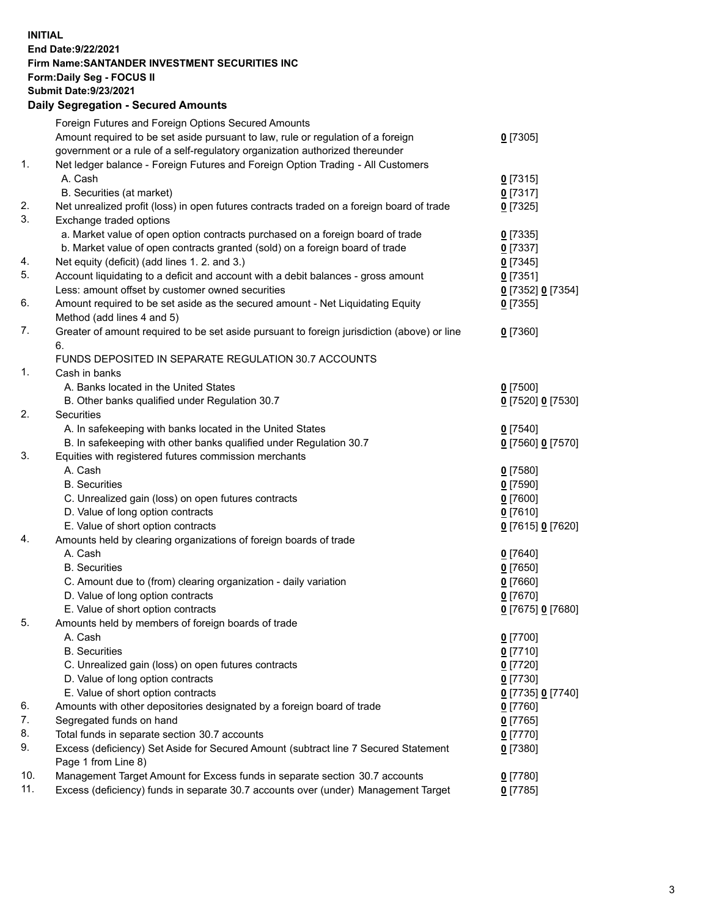**INITIAL End Date:9/22/2021 Firm Name:SANTANDER INVESTMENT SECURITIES INC Form:Daily Seg - FOCUS II Submit Date:9/23/2021 Daily Segregation - Secured Amounts**

| Amount required to be set aside pursuant to law, rule or regulation of a foreign<br>$0$ [7305]<br>government or a rule of a self-regulatory organization authorized thereunder<br>1.<br>Net ledger balance - Foreign Futures and Foreign Option Trading - All Customers<br>A. Cash<br>$0$ [7315]<br>B. Securities (at market)<br>$0$ [7317]<br>Net unrealized profit (loss) in open futures contracts traded on a foreign board of trade<br>$0$ [7325]<br>Exchange traded options<br>a. Market value of open option contracts purchased on a foreign board of trade<br>$0$ [7335]<br>b. Market value of open contracts granted (sold) on a foreign board of trade<br>$0$ [7337]<br>Net equity (deficit) (add lines 1. 2. and 3.)<br>$0$ [7345]<br>Account liquidating to a deficit and account with a debit balances - gross amount<br>$0$ [7351]<br>Less: amount offset by customer owned securities<br>0 [7352] 0 [7354]<br>Amount required to be set aside as the secured amount - Net Liquidating Equity<br>$0$ [7355]<br>Method (add lines 4 and 5)<br>Greater of amount required to be set aside pursuant to foreign jurisdiction (above) or line<br>$0$ [7360]<br>6.<br>FUNDS DEPOSITED IN SEPARATE REGULATION 30.7 ACCOUNTS<br>1.<br>Cash in banks<br>A. Banks located in the United States<br>$0$ [7500]<br>B. Other banks qualified under Regulation 30.7<br>0 [7520] 0 [7530]<br>Securities<br>A. In safekeeping with banks located in the United States<br>$0$ [7540]<br>B. In safekeeping with other banks qualified under Regulation 30.7<br>0 [7560] 0 [7570]<br>Equities with registered futures commission merchants<br>A. Cash<br>$0$ [7580]<br><b>B.</b> Securities<br>$0$ [7590]<br>C. Unrealized gain (loss) on open futures contracts<br>$0$ [7600]<br>D. Value of long option contracts<br>$0$ [7610]<br>E. Value of short option contracts<br>0 [7615] 0 [7620]<br>Amounts held by clearing organizations of foreign boards of trade<br>A. Cash<br>$0$ [7640]<br><b>B.</b> Securities<br>$0$ [7650]<br>C. Amount due to (from) clearing organization - daily variation<br>$0$ [7660]<br>D. Value of long option contracts<br>$0$ [7670]<br>E. Value of short option contracts<br>0 [7675] 0 [7680]<br>Amounts held by members of foreign boards of trade<br>$0$ [7700]<br>A. Cash<br>$0$ [7710]<br><b>B.</b> Securities<br>C. Unrealized gain (loss) on open futures contracts<br>$0$ [7720]<br>D. Value of long option contracts<br>$0$ [7730]<br>E. Value of short option contracts<br>0 [7735] 0 [7740]<br>Amounts with other depositories designated by a foreign board of trade<br>$0$ [7760]<br>Segregated funds on hand<br>$0$ [7765]<br>Total funds in separate section 30.7 accounts<br>$0$ [7770]<br>Excess (deficiency) Set Aside for Secured Amount (subtract line 7 Secured Statement<br>$0$ [7380]<br>Page 1 from Line 8)<br>10.<br>Management Target Amount for Excess funds in separate section 30.7 accounts<br>$0$ [7780]<br>11.<br>Excess (deficiency) funds in separate 30.7 accounts over (under) Management Target |    | Foreign Futures and Foreign Options Secured Amounts |            |
|------------------------------------------------------------------------------------------------------------------------------------------------------------------------------------------------------------------------------------------------------------------------------------------------------------------------------------------------------------------------------------------------------------------------------------------------------------------------------------------------------------------------------------------------------------------------------------------------------------------------------------------------------------------------------------------------------------------------------------------------------------------------------------------------------------------------------------------------------------------------------------------------------------------------------------------------------------------------------------------------------------------------------------------------------------------------------------------------------------------------------------------------------------------------------------------------------------------------------------------------------------------------------------------------------------------------------------------------------------------------------------------------------------------------------------------------------------------------------------------------------------------------------------------------------------------------------------------------------------------------------------------------------------------------------------------------------------------------------------------------------------------------------------------------------------------------------------------------------------------------------------------------------------------------------------------------------------------------------------------------------------------------------------------------------------------------------------------------------------------------------------------------------------------------------------------------------------------------------------------------------------------------------------------------------------------------------------------------------------------------------------------------------------------------------------------------------------------------------------------------------------------------------------------------------------------------------------------------------------------------------------------------------------------------------------------------------------------------------------------------------------------------------------------------------------------------------------------------------------------------------------------------------------------------------------------------------------------------------------------------------------------------------------------------------------------|----|-----------------------------------------------------|------------|
|                                                                                                                                                                                                                                                                                                                                                                                                                                                                                                                                                                                                                                                                                                                                                                                                                                                                                                                                                                                                                                                                                                                                                                                                                                                                                                                                                                                                                                                                                                                                                                                                                                                                                                                                                                                                                                                                                                                                                                                                                                                                                                                                                                                                                                                                                                                                                                                                                                                                                                                                                                                                                                                                                                                                                                                                                                                                                                                                                                                                                                                                  |    |                                                     |            |
|                                                                                                                                                                                                                                                                                                                                                                                                                                                                                                                                                                                                                                                                                                                                                                                                                                                                                                                                                                                                                                                                                                                                                                                                                                                                                                                                                                                                                                                                                                                                                                                                                                                                                                                                                                                                                                                                                                                                                                                                                                                                                                                                                                                                                                                                                                                                                                                                                                                                                                                                                                                                                                                                                                                                                                                                                                                                                                                                                                                                                                                                  |    |                                                     |            |
|                                                                                                                                                                                                                                                                                                                                                                                                                                                                                                                                                                                                                                                                                                                                                                                                                                                                                                                                                                                                                                                                                                                                                                                                                                                                                                                                                                                                                                                                                                                                                                                                                                                                                                                                                                                                                                                                                                                                                                                                                                                                                                                                                                                                                                                                                                                                                                                                                                                                                                                                                                                                                                                                                                                                                                                                                                                                                                                                                                                                                                                                  |    |                                                     |            |
|                                                                                                                                                                                                                                                                                                                                                                                                                                                                                                                                                                                                                                                                                                                                                                                                                                                                                                                                                                                                                                                                                                                                                                                                                                                                                                                                                                                                                                                                                                                                                                                                                                                                                                                                                                                                                                                                                                                                                                                                                                                                                                                                                                                                                                                                                                                                                                                                                                                                                                                                                                                                                                                                                                                                                                                                                                                                                                                                                                                                                                                                  |    |                                                     |            |
|                                                                                                                                                                                                                                                                                                                                                                                                                                                                                                                                                                                                                                                                                                                                                                                                                                                                                                                                                                                                                                                                                                                                                                                                                                                                                                                                                                                                                                                                                                                                                                                                                                                                                                                                                                                                                                                                                                                                                                                                                                                                                                                                                                                                                                                                                                                                                                                                                                                                                                                                                                                                                                                                                                                                                                                                                                                                                                                                                                                                                                                                  |    |                                                     |            |
|                                                                                                                                                                                                                                                                                                                                                                                                                                                                                                                                                                                                                                                                                                                                                                                                                                                                                                                                                                                                                                                                                                                                                                                                                                                                                                                                                                                                                                                                                                                                                                                                                                                                                                                                                                                                                                                                                                                                                                                                                                                                                                                                                                                                                                                                                                                                                                                                                                                                                                                                                                                                                                                                                                                                                                                                                                                                                                                                                                                                                                                                  | 2. |                                                     |            |
|                                                                                                                                                                                                                                                                                                                                                                                                                                                                                                                                                                                                                                                                                                                                                                                                                                                                                                                                                                                                                                                                                                                                                                                                                                                                                                                                                                                                                                                                                                                                                                                                                                                                                                                                                                                                                                                                                                                                                                                                                                                                                                                                                                                                                                                                                                                                                                                                                                                                                                                                                                                                                                                                                                                                                                                                                                                                                                                                                                                                                                                                  | 3. |                                                     |            |
|                                                                                                                                                                                                                                                                                                                                                                                                                                                                                                                                                                                                                                                                                                                                                                                                                                                                                                                                                                                                                                                                                                                                                                                                                                                                                                                                                                                                                                                                                                                                                                                                                                                                                                                                                                                                                                                                                                                                                                                                                                                                                                                                                                                                                                                                                                                                                                                                                                                                                                                                                                                                                                                                                                                                                                                                                                                                                                                                                                                                                                                                  |    |                                                     |            |
|                                                                                                                                                                                                                                                                                                                                                                                                                                                                                                                                                                                                                                                                                                                                                                                                                                                                                                                                                                                                                                                                                                                                                                                                                                                                                                                                                                                                                                                                                                                                                                                                                                                                                                                                                                                                                                                                                                                                                                                                                                                                                                                                                                                                                                                                                                                                                                                                                                                                                                                                                                                                                                                                                                                                                                                                                                                                                                                                                                                                                                                                  |    |                                                     |            |
|                                                                                                                                                                                                                                                                                                                                                                                                                                                                                                                                                                                                                                                                                                                                                                                                                                                                                                                                                                                                                                                                                                                                                                                                                                                                                                                                                                                                                                                                                                                                                                                                                                                                                                                                                                                                                                                                                                                                                                                                                                                                                                                                                                                                                                                                                                                                                                                                                                                                                                                                                                                                                                                                                                                                                                                                                                                                                                                                                                                                                                                                  | 4. |                                                     |            |
|                                                                                                                                                                                                                                                                                                                                                                                                                                                                                                                                                                                                                                                                                                                                                                                                                                                                                                                                                                                                                                                                                                                                                                                                                                                                                                                                                                                                                                                                                                                                                                                                                                                                                                                                                                                                                                                                                                                                                                                                                                                                                                                                                                                                                                                                                                                                                                                                                                                                                                                                                                                                                                                                                                                                                                                                                                                                                                                                                                                                                                                                  | 5. |                                                     |            |
|                                                                                                                                                                                                                                                                                                                                                                                                                                                                                                                                                                                                                                                                                                                                                                                                                                                                                                                                                                                                                                                                                                                                                                                                                                                                                                                                                                                                                                                                                                                                                                                                                                                                                                                                                                                                                                                                                                                                                                                                                                                                                                                                                                                                                                                                                                                                                                                                                                                                                                                                                                                                                                                                                                                                                                                                                                                                                                                                                                                                                                                                  |    |                                                     |            |
|                                                                                                                                                                                                                                                                                                                                                                                                                                                                                                                                                                                                                                                                                                                                                                                                                                                                                                                                                                                                                                                                                                                                                                                                                                                                                                                                                                                                                                                                                                                                                                                                                                                                                                                                                                                                                                                                                                                                                                                                                                                                                                                                                                                                                                                                                                                                                                                                                                                                                                                                                                                                                                                                                                                                                                                                                                                                                                                                                                                                                                                                  | 6. |                                                     |            |
|                                                                                                                                                                                                                                                                                                                                                                                                                                                                                                                                                                                                                                                                                                                                                                                                                                                                                                                                                                                                                                                                                                                                                                                                                                                                                                                                                                                                                                                                                                                                                                                                                                                                                                                                                                                                                                                                                                                                                                                                                                                                                                                                                                                                                                                                                                                                                                                                                                                                                                                                                                                                                                                                                                                                                                                                                                                                                                                                                                                                                                                                  |    |                                                     |            |
|                                                                                                                                                                                                                                                                                                                                                                                                                                                                                                                                                                                                                                                                                                                                                                                                                                                                                                                                                                                                                                                                                                                                                                                                                                                                                                                                                                                                                                                                                                                                                                                                                                                                                                                                                                                                                                                                                                                                                                                                                                                                                                                                                                                                                                                                                                                                                                                                                                                                                                                                                                                                                                                                                                                                                                                                                                                                                                                                                                                                                                                                  | 7. |                                                     |            |
|                                                                                                                                                                                                                                                                                                                                                                                                                                                                                                                                                                                                                                                                                                                                                                                                                                                                                                                                                                                                                                                                                                                                                                                                                                                                                                                                                                                                                                                                                                                                                                                                                                                                                                                                                                                                                                                                                                                                                                                                                                                                                                                                                                                                                                                                                                                                                                                                                                                                                                                                                                                                                                                                                                                                                                                                                                                                                                                                                                                                                                                                  |    |                                                     |            |
|                                                                                                                                                                                                                                                                                                                                                                                                                                                                                                                                                                                                                                                                                                                                                                                                                                                                                                                                                                                                                                                                                                                                                                                                                                                                                                                                                                                                                                                                                                                                                                                                                                                                                                                                                                                                                                                                                                                                                                                                                                                                                                                                                                                                                                                                                                                                                                                                                                                                                                                                                                                                                                                                                                                                                                                                                                                                                                                                                                                                                                                                  |    |                                                     |            |
|                                                                                                                                                                                                                                                                                                                                                                                                                                                                                                                                                                                                                                                                                                                                                                                                                                                                                                                                                                                                                                                                                                                                                                                                                                                                                                                                                                                                                                                                                                                                                                                                                                                                                                                                                                                                                                                                                                                                                                                                                                                                                                                                                                                                                                                                                                                                                                                                                                                                                                                                                                                                                                                                                                                                                                                                                                                                                                                                                                                                                                                                  |    |                                                     |            |
|                                                                                                                                                                                                                                                                                                                                                                                                                                                                                                                                                                                                                                                                                                                                                                                                                                                                                                                                                                                                                                                                                                                                                                                                                                                                                                                                                                                                                                                                                                                                                                                                                                                                                                                                                                                                                                                                                                                                                                                                                                                                                                                                                                                                                                                                                                                                                                                                                                                                                                                                                                                                                                                                                                                                                                                                                                                                                                                                                                                                                                                                  |    |                                                     |            |
|                                                                                                                                                                                                                                                                                                                                                                                                                                                                                                                                                                                                                                                                                                                                                                                                                                                                                                                                                                                                                                                                                                                                                                                                                                                                                                                                                                                                                                                                                                                                                                                                                                                                                                                                                                                                                                                                                                                                                                                                                                                                                                                                                                                                                                                                                                                                                                                                                                                                                                                                                                                                                                                                                                                                                                                                                                                                                                                                                                                                                                                                  |    |                                                     |            |
|                                                                                                                                                                                                                                                                                                                                                                                                                                                                                                                                                                                                                                                                                                                                                                                                                                                                                                                                                                                                                                                                                                                                                                                                                                                                                                                                                                                                                                                                                                                                                                                                                                                                                                                                                                                                                                                                                                                                                                                                                                                                                                                                                                                                                                                                                                                                                                                                                                                                                                                                                                                                                                                                                                                                                                                                                                                                                                                                                                                                                                                                  | 2. |                                                     |            |
|                                                                                                                                                                                                                                                                                                                                                                                                                                                                                                                                                                                                                                                                                                                                                                                                                                                                                                                                                                                                                                                                                                                                                                                                                                                                                                                                                                                                                                                                                                                                                                                                                                                                                                                                                                                                                                                                                                                                                                                                                                                                                                                                                                                                                                                                                                                                                                                                                                                                                                                                                                                                                                                                                                                                                                                                                                                                                                                                                                                                                                                                  |    |                                                     |            |
|                                                                                                                                                                                                                                                                                                                                                                                                                                                                                                                                                                                                                                                                                                                                                                                                                                                                                                                                                                                                                                                                                                                                                                                                                                                                                                                                                                                                                                                                                                                                                                                                                                                                                                                                                                                                                                                                                                                                                                                                                                                                                                                                                                                                                                                                                                                                                                                                                                                                                                                                                                                                                                                                                                                                                                                                                                                                                                                                                                                                                                                                  |    |                                                     |            |
|                                                                                                                                                                                                                                                                                                                                                                                                                                                                                                                                                                                                                                                                                                                                                                                                                                                                                                                                                                                                                                                                                                                                                                                                                                                                                                                                                                                                                                                                                                                                                                                                                                                                                                                                                                                                                                                                                                                                                                                                                                                                                                                                                                                                                                                                                                                                                                                                                                                                                                                                                                                                                                                                                                                                                                                                                                                                                                                                                                                                                                                                  | 3. |                                                     |            |
|                                                                                                                                                                                                                                                                                                                                                                                                                                                                                                                                                                                                                                                                                                                                                                                                                                                                                                                                                                                                                                                                                                                                                                                                                                                                                                                                                                                                                                                                                                                                                                                                                                                                                                                                                                                                                                                                                                                                                                                                                                                                                                                                                                                                                                                                                                                                                                                                                                                                                                                                                                                                                                                                                                                                                                                                                                                                                                                                                                                                                                                                  |    |                                                     |            |
|                                                                                                                                                                                                                                                                                                                                                                                                                                                                                                                                                                                                                                                                                                                                                                                                                                                                                                                                                                                                                                                                                                                                                                                                                                                                                                                                                                                                                                                                                                                                                                                                                                                                                                                                                                                                                                                                                                                                                                                                                                                                                                                                                                                                                                                                                                                                                                                                                                                                                                                                                                                                                                                                                                                                                                                                                                                                                                                                                                                                                                                                  |    |                                                     |            |
|                                                                                                                                                                                                                                                                                                                                                                                                                                                                                                                                                                                                                                                                                                                                                                                                                                                                                                                                                                                                                                                                                                                                                                                                                                                                                                                                                                                                                                                                                                                                                                                                                                                                                                                                                                                                                                                                                                                                                                                                                                                                                                                                                                                                                                                                                                                                                                                                                                                                                                                                                                                                                                                                                                                                                                                                                                                                                                                                                                                                                                                                  |    |                                                     |            |
|                                                                                                                                                                                                                                                                                                                                                                                                                                                                                                                                                                                                                                                                                                                                                                                                                                                                                                                                                                                                                                                                                                                                                                                                                                                                                                                                                                                                                                                                                                                                                                                                                                                                                                                                                                                                                                                                                                                                                                                                                                                                                                                                                                                                                                                                                                                                                                                                                                                                                                                                                                                                                                                                                                                                                                                                                                                                                                                                                                                                                                                                  |    |                                                     |            |
|                                                                                                                                                                                                                                                                                                                                                                                                                                                                                                                                                                                                                                                                                                                                                                                                                                                                                                                                                                                                                                                                                                                                                                                                                                                                                                                                                                                                                                                                                                                                                                                                                                                                                                                                                                                                                                                                                                                                                                                                                                                                                                                                                                                                                                                                                                                                                                                                                                                                                                                                                                                                                                                                                                                                                                                                                                                                                                                                                                                                                                                                  |    |                                                     |            |
|                                                                                                                                                                                                                                                                                                                                                                                                                                                                                                                                                                                                                                                                                                                                                                                                                                                                                                                                                                                                                                                                                                                                                                                                                                                                                                                                                                                                                                                                                                                                                                                                                                                                                                                                                                                                                                                                                                                                                                                                                                                                                                                                                                                                                                                                                                                                                                                                                                                                                                                                                                                                                                                                                                                                                                                                                                                                                                                                                                                                                                                                  | 4. |                                                     |            |
|                                                                                                                                                                                                                                                                                                                                                                                                                                                                                                                                                                                                                                                                                                                                                                                                                                                                                                                                                                                                                                                                                                                                                                                                                                                                                                                                                                                                                                                                                                                                                                                                                                                                                                                                                                                                                                                                                                                                                                                                                                                                                                                                                                                                                                                                                                                                                                                                                                                                                                                                                                                                                                                                                                                                                                                                                                                                                                                                                                                                                                                                  |    |                                                     |            |
|                                                                                                                                                                                                                                                                                                                                                                                                                                                                                                                                                                                                                                                                                                                                                                                                                                                                                                                                                                                                                                                                                                                                                                                                                                                                                                                                                                                                                                                                                                                                                                                                                                                                                                                                                                                                                                                                                                                                                                                                                                                                                                                                                                                                                                                                                                                                                                                                                                                                                                                                                                                                                                                                                                                                                                                                                                                                                                                                                                                                                                                                  |    |                                                     |            |
|                                                                                                                                                                                                                                                                                                                                                                                                                                                                                                                                                                                                                                                                                                                                                                                                                                                                                                                                                                                                                                                                                                                                                                                                                                                                                                                                                                                                                                                                                                                                                                                                                                                                                                                                                                                                                                                                                                                                                                                                                                                                                                                                                                                                                                                                                                                                                                                                                                                                                                                                                                                                                                                                                                                                                                                                                                                                                                                                                                                                                                                                  |    |                                                     |            |
|                                                                                                                                                                                                                                                                                                                                                                                                                                                                                                                                                                                                                                                                                                                                                                                                                                                                                                                                                                                                                                                                                                                                                                                                                                                                                                                                                                                                                                                                                                                                                                                                                                                                                                                                                                                                                                                                                                                                                                                                                                                                                                                                                                                                                                                                                                                                                                                                                                                                                                                                                                                                                                                                                                                                                                                                                                                                                                                                                                                                                                                                  |    |                                                     |            |
|                                                                                                                                                                                                                                                                                                                                                                                                                                                                                                                                                                                                                                                                                                                                                                                                                                                                                                                                                                                                                                                                                                                                                                                                                                                                                                                                                                                                                                                                                                                                                                                                                                                                                                                                                                                                                                                                                                                                                                                                                                                                                                                                                                                                                                                                                                                                                                                                                                                                                                                                                                                                                                                                                                                                                                                                                                                                                                                                                                                                                                                                  |    |                                                     |            |
|                                                                                                                                                                                                                                                                                                                                                                                                                                                                                                                                                                                                                                                                                                                                                                                                                                                                                                                                                                                                                                                                                                                                                                                                                                                                                                                                                                                                                                                                                                                                                                                                                                                                                                                                                                                                                                                                                                                                                                                                                                                                                                                                                                                                                                                                                                                                                                                                                                                                                                                                                                                                                                                                                                                                                                                                                                                                                                                                                                                                                                                                  | 5. |                                                     |            |
|                                                                                                                                                                                                                                                                                                                                                                                                                                                                                                                                                                                                                                                                                                                                                                                                                                                                                                                                                                                                                                                                                                                                                                                                                                                                                                                                                                                                                                                                                                                                                                                                                                                                                                                                                                                                                                                                                                                                                                                                                                                                                                                                                                                                                                                                                                                                                                                                                                                                                                                                                                                                                                                                                                                                                                                                                                                                                                                                                                                                                                                                  |    |                                                     |            |
|                                                                                                                                                                                                                                                                                                                                                                                                                                                                                                                                                                                                                                                                                                                                                                                                                                                                                                                                                                                                                                                                                                                                                                                                                                                                                                                                                                                                                                                                                                                                                                                                                                                                                                                                                                                                                                                                                                                                                                                                                                                                                                                                                                                                                                                                                                                                                                                                                                                                                                                                                                                                                                                                                                                                                                                                                                                                                                                                                                                                                                                                  |    |                                                     |            |
|                                                                                                                                                                                                                                                                                                                                                                                                                                                                                                                                                                                                                                                                                                                                                                                                                                                                                                                                                                                                                                                                                                                                                                                                                                                                                                                                                                                                                                                                                                                                                                                                                                                                                                                                                                                                                                                                                                                                                                                                                                                                                                                                                                                                                                                                                                                                                                                                                                                                                                                                                                                                                                                                                                                                                                                                                                                                                                                                                                                                                                                                  |    |                                                     |            |
|                                                                                                                                                                                                                                                                                                                                                                                                                                                                                                                                                                                                                                                                                                                                                                                                                                                                                                                                                                                                                                                                                                                                                                                                                                                                                                                                                                                                                                                                                                                                                                                                                                                                                                                                                                                                                                                                                                                                                                                                                                                                                                                                                                                                                                                                                                                                                                                                                                                                                                                                                                                                                                                                                                                                                                                                                                                                                                                                                                                                                                                                  |    |                                                     |            |
|                                                                                                                                                                                                                                                                                                                                                                                                                                                                                                                                                                                                                                                                                                                                                                                                                                                                                                                                                                                                                                                                                                                                                                                                                                                                                                                                                                                                                                                                                                                                                                                                                                                                                                                                                                                                                                                                                                                                                                                                                                                                                                                                                                                                                                                                                                                                                                                                                                                                                                                                                                                                                                                                                                                                                                                                                                                                                                                                                                                                                                                                  |    |                                                     |            |
|                                                                                                                                                                                                                                                                                                                                                                                                                                                                                                                                                                                                                                                                                                                                                                                                                                                                                                                                                                                                                                                                                                                                                                                                                                                                                                                                                                                                                                                                                                                                                                                                                                                                                                                                                                                                                                                                                                                                                                                                                                                                                                                                                                                                                                                                                                                                                                                                                                                                                                                                                                                                                                                                                                                                                                                                                                                                                                                                                                                                                                                                  | 6. |                                                     |            |
|                                                                                                                                                                                                                                                                                                                                                                                                                                                                                                                                                                                                                                                                                                                                                                                                                                                                                                                                                                                                                                                                                                                                                                                                                                                                                                                                                                                                                                                                                                                                                                                                                                                                                                                                                                                                                                                                                                                                                                                                                                                                                                                                                                                                                                                                                                                                                                                                                                                                                                                                                                                                                                                                                                                                                                                                                                                                                                                                                                                                                                                                  | 7. |                                                     |            |
|                                                                                                                                                                                                                                                                                                                                                                                                                                                                                                                                                                                                                                                                                                                                                                                                                                                                                                                                                                                                                                                                                                                                                                                                                                                                                                                                                                                                                                                                                                                                                                                                                                                                                                                                                                                                                                                                                                                                                                                                                                                                                                                                                                                                                                                                                                                                                                                                                                                                                                                                                                                                                                                                                                                                                                                                                                                                                                                                                                                                                                                                  | 8. |                                                     |            |
|                                                                                                                                                                                                                                                                                                                                                                                                                                                                                                                                                                                                                                                                                                                                                                                                                                                                                                                                                                                                                                                                                                                                                                                                                                                                                                                                                                                                                                                                                                                                                                                                                                                                                                                                                                                                                                                                                                                                                                                                                                                                                                                                                                                                                                                                                                                                                                                                                                                                                                                                                                                                                                                                                                                                                                                                                                                                                                                                                                                                                                                                  | 9. |                                                     |            |
|                                                                                                                                                                                                                                                                                                                                                                                                                                                                                                                                                                                                                                                                                                                                                                                                                                                                                                                                                                                                                                                                                                                                                                                                                                                                                                                                                                                                                                                                                                                                                                                                                                                                                                                                                                                                                                                                                                                                                                                                                                                                                                                                                                                                                                                                                                                                                                                                                                                                                                                                                                                                                                                                                                                                                                                                                                                                                                                                                                                                                                                                  |    |                                                     |            |
|                                                                                                                                                                                                                                                                                                                                                                                                                                                                                                                                                                                                                                                                                                                                                                                                                                                                                                                                                                                                                                                                                                                                                                                                                                                                                                                                                                                                                                                                                                                                                                                                                                                                                                                                                                                                                                                                                                                                                                                                                                                                                                                                                                                                                                                                                                                                                                                                                                                                                                                                                                                                                                                                                                                                                                                                                                                                                                                                                                                                                                                                  |    |                                                     |            |
|                                                                                                                                                                                                                                                                                                                                                                                                                                                                                                                                                                                                                                                                                                                                                                                                                                                                                                                                                                                                                                                                                                                                                                                                                                                                                                                                                                                                                                                                                                                                                                                                                                                                                                                                                                                                                                                                                                                                                                                                                                                                                                                                                                                                                                                                                                                                                                                                                                                                                                                                                                                                                                                                                                                                                                                                                                                                                                                                                                                                                                                                  |    |                                                     | $0$ [7785] |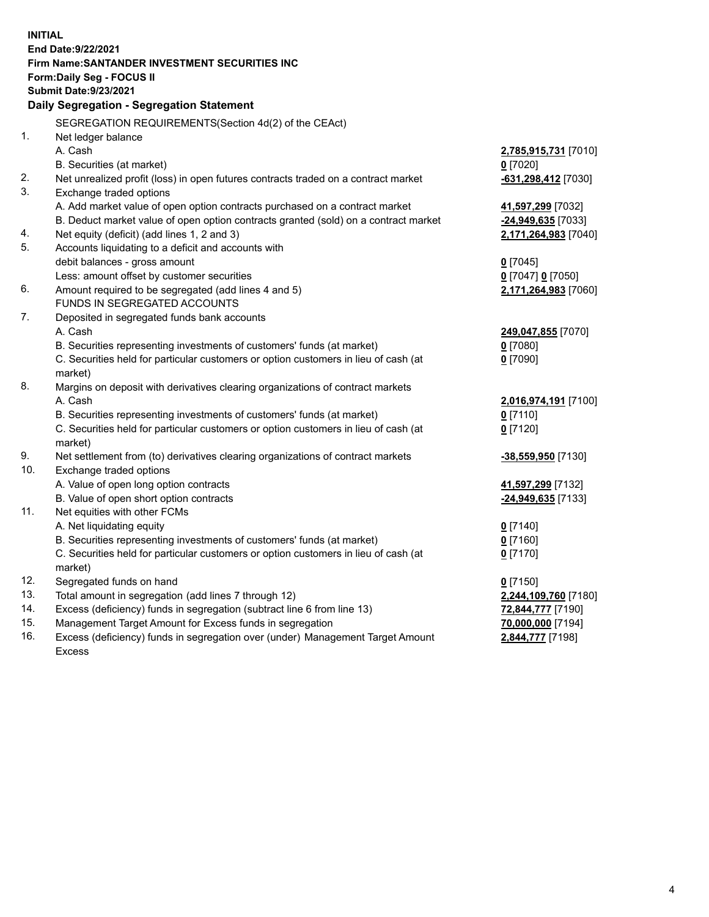| End Date: 9/22/2021<br><b>Firm Name: SANTANDER INVESTMENT SECURITIES INC</b><br><b>Form:Daily Seg - FOCUS II</b><br><b>Submit Date: 9/23/2021</b><br>Daily Segregation - Segregation Statement<br>SEGREGATION REQUIREMENTS(Section 4d(2) of the CEAct)<br>1.<br>Net ledger balance<br>A. Cash<br>2,785,915,731 [7010]<br>B. Securities (at market)<br>$0$ [7020]<br>2.<br>Net unrealized profit (loss) in open futures contracts traded on a contract market<br>$-631,298,412$ [7030]<br>3.<br>Exchange traded options<br>A. Add market value of open option contracts purchased on a contract market<br>41,597,299 [7032]<br>B. Deduct market value of open option contracts granted (sold) on a contract market<br>-24,949,635 [7033]<br>Net equity (deficit) (add lines 1, 2 and 3)<br>4.<br>2,171,264,983 [7040]<br>5. |
|----------------------------------------------------------------------------------------------------------------------------------------------------------------------------------------------------------------------------------------------------------------------------------------------------------------------------------------------------------------------------------------------------------------------------------------------------------------------------------------------------------------------------------------------------------------------------------------------------------------------------------------------------------------------------------------------------------------------------------------------------------------------------------------------------------------------------|
|                                                                                                                                                                                                                                                                                                                                                                                                                                                                                                                                                                                                                                                                                                                                                                                                                            |
|                                                                                                                                                                                                                                                                                                                                                                                                                                                                                                                                                                                                                                                                                                                                                                                                                            |
|                                                                                                                                                                                                                                                                                                                                                                                                                                                                                                                                                                                                                                                                                                                                                                                                                            |
|                                                                                                                                                                                                                                                                                                                                                                                                                                                                                                                                                                                                                                                                                                                                                                                                                            |
|                                                                                                                                                                                                                                                                                                                                                                                                                                                                                                                                                                                                                                                                                                                                                                                                                            |
|                                                                                                                                                                                                                                                                                                                                                                                                                                                                                                                                                                                                                                                                                                                                                                                                                            |
|                                                                                                                                                                                                                                                                                                                                                                                                                                                                                                                                                                                                                                                                                                                                                                                                                            |
|                                                                                                                                                                                                                                                                                                                                                                                                                                                                                                                                                                                                                                                                                                                                                                                                                            |
|                                                                                                                                                                                                                                                                                                                                                                                                                                                                                                                                                                                                                                                                                                                                                                                                                            |
|                                                                                                                                                                                                                                                                                                                                                                                                                                                                                                                                                                                                                                                                                                                                                                                                                            |
|                                                                                                                                                                                                                                                                                                                                                                                                                                                                                                                                                                                                                                                                                                                                                                                                                            |
|                                                                                                                                                                                                                                                                                                                                                                                                                                                                                                                                                                                                                                                                                                                                                                                                                            |
|                                                                                                                                                                                                                                                                                                                                                                                                                                                                                                                                                                                                                                                                                                                                                                                                                            |
|                                                                                                                                                                                                                                                                                                                                                                                                                                                                                                                                                                                                                                                                                                                                                                                                                            |
| Accounts liquidating to a deficit and accounts with                                                                                                                                                                                                                                                                                                                                                                                                                                                                                                                                                                                                                                                                                                                                                                        |
| debit balances - gross amount<br>$0$ [7045]                                                                                                                                                                                                                                                                                                                                                                                                                                                                                                                                                                                                                                                                                                                                                                                |
| Less: amount offset by customer securities<br>0 [7047] 0 [7050]                                                                                                                                                                                                                                                                                                                                                                                                                                                                                                                                                                                                                                                                                                                                                            |
| 6.<br>Amount required to be segregated (add lines 4 and 5)<br>2,171,264,983 [7060]                                                                                                                                                                                                                                                                                                                                                                                                                                                                                                                                                                                                                                                                                                                                         |
| FUNDS IN SEGREGATED ACCOUNTS                                                                                                                                                                                                                                                                                                                                                                                                                                                                                                                                                                                                                                                                                                                                                                                               |
| 7.<br>Deposited in segregated funds bank accounts                                                                                                                                                                                                                                                                                                                                                                                                                                                                                                                                                                                                                                                                                                                                                                          |
| A. Cash<br>249,047,855 [7070]                                                                                                                                                                                                                                                                                                                                                                                                                                                                                                                                                                                                                                                                                                                                                                                              |
| B. Securities representing investments of customers' funds (at market)<br>$0$ [7080]                                                                                                                                                                                                                                                                                                                                                                                                                                                                                                                                                                                                                                                                                                                                       |
| C. Securities held for particular customers or option customers in lieu of cash (at<br>$0$ [7090]                                                                                                                                                                                                                                                                                                                                                                                                                                                                                                                                                                                                                                                                                                                          |
| market)                                                                                                                                                                                                                                                                                                                                                                                                                                                                                                                                                                                                                                                                                                                                                                                                                    |
| 8.<br>Margins on deposit with derivatives clearing organizations of contract markets                                                                                                                                                                                                                                                                                                                                                                                                                                                                                                                                                                                                                                                                                                                                       |
| A. Cash<br>2,016,974,191 [7100]                                                                                                                                                                                                                                                                                                                                                                                                                                                                                                                                                                                                                                                                                                                                                                                            |
| B. Securities representing investments of customers' funds (at market)<br>$0$ [7110]                                                                                                                                                                                                                                                                                                                                                                                                                                                                                                                                                                                                                                                                                                                                       |
| C. Securities held for particular customers or option customers in lieu of cash (at<br>$0$ [7120]                                                                                                                                                                                                                                                                                                                                                                                                                                                                                                                                                                                                                                                                                                                          |
| market)                                                                                                                                                                                                                                                                                                                                                                                                                                                                                                                                                                                                                                                                                                                                                                                                                    |
| 9.<br>Net settlement from (to) derivatives clearing organizations of contract markets<br>-38,559,950 [7130]<br>10.                                                                                                                                                                                                                                                                                                                                                                                                                                                                                                                                                                                                                                                                                                         |
| Exchange traded options                                                                                                                                                                                                                                                                                                                                                                                                                                                                                                                                                                                                                                                                                                                                                                                                    |
| A. Value of open long option contracts<br>41,597,299 [7132]<br>B. Value of open short option contracts                                                                                                                                                                                                                                                                                                                                                                                                                                                                                                                                                                                                                                                                                                                     |
| -24,949,635 [7133]<br>11.<br>Net equities with other FCMs                                                                                                                                                                                                                                                                                                                                                                                                                                                                                                                                                                                                                                                                                                                                                                  |
| A. Net liquidating equity                                                                                                                                                                                                                                                                                                                                                                                                                                                                                                                                                                                                                                                                                                                                                                                                  |
| $0$ [7140]<br>B. Securities representing investments of customers' funds (at market)<br>$0$ [7160]                                                                                                                                                                                                                                                                                                                                                                                                                                                                                                                                                                                                                                                                                                                         |
| C. Securities held for particular customers or option customers in lieu of cash (at<br>$0$ [7170]                                                                                                                                                                                                                                                                                                                                                                                                                                                                                                                                                                                                                                                                                                                          |
| market)                                                                                                                                                                                                                                                                                                                                                                                                                                                                                                                                                                                                                                                                                                                                                                                                                    |
| 12.<br>Segregated funds on hand<br>$0$ [7150]                                                                                                                                                                                                                                                                                                                                                                                                                                                                                                                                                                                                                                                                                                                                                                              |
| 13.<br>Total amount in segregation (add lines 7 through 12)<br>2,244,109,760 [7180]                                                                                                                                                                                                                                                                                                                                                                                                                                                                                                                                                                                                                                                                                                                                        |
| 14.<br>Excess (deficiency) funds in segregation (subtract line 6 from line 13)<br>72,844,777 [7190]                                                                                                                                                                                                                                                                                                                                                                                                                                                                                                                                                                                                                                                                                                                        |
| 15.<br>Management Target Amount for Excess funds in segregation<br>70,000,000 [7194]                                                                                                                                                                                                                                                                                                                                                                                                                                                                                                                                                                                                                                                                                                                                       |
| 16.<br>Excess (deficiency) funds in segregation over (under) Management Target Amount<br>2,844,777 [7198]                                                                                                                                                                                                                                                                                                                                                                                                                                                                                                                                                                                                                                                                                                                  |
| <b>Excess</b>                                                                                                                                                                                                                                                                                                                                                                                                                                                                                                                                                                                                                                                                                                                                                                                                              |